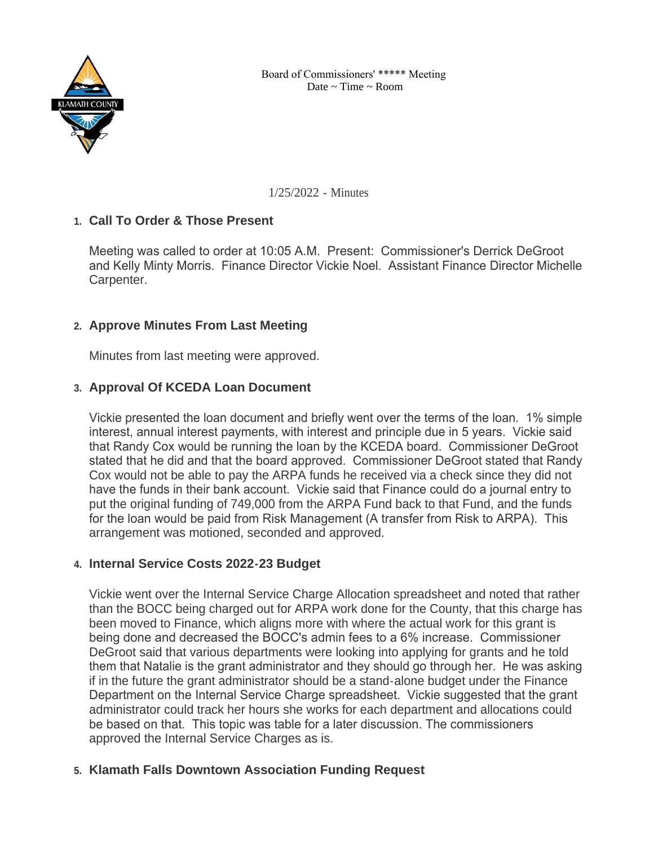

1/25/2022 - Minutes

## **Call To Order & Those Present 1.**

Meeting was called to order at 10:05 A.M. Present: Commissioner's Derrick DeGroot and Kelly Minty Morris. Finance Director Vickie Noel. Assistant Finance Director Michelle Carpenter.

# **Approve Minutes From Last Meeting 2.**

Minutes from last meeting were approved.

# **Approval Of KCEDA Loan Document 3.**

Vickie presented the loan document and briefly went over the terms of the loan. 1% simple interest, annual interest payments, with interest and principle due in 5 years. Vickie said that Randy Cox would be running the loan by the KCEDA board. Commissioner DeGroot stated that he did and that the board approved. Commissioner DeGroot stated that Randy Cox would not be able to pay the ARPA funds he received via a check since they did not have the funds in their bank account. Vickie said that Finance could do a journal entry to put the original funding of 749,000 from the ARPA Fund back to that Fund, and the funds for the loan would be paid from Risk Management (A transfer from Risk to ARPA). This arrangement was motioned, seconded and approved.

### **Internal Service Costs 2022-23 Budget 4.**

Vickie went over the Internal Service Charge Allocation spreadsheet and noted that rather than the BOCC being charged out for ARPA work done for the County, that this charge has been moved to Finance, which aligns more with where the actual work for this grant is being done and decreased the BOCC's admin fees to a 6% increase. Commissioner DeGroot said that various departments were looking into applying for grants and he told them that Natalie is the grant administrator and they should go through her. He was asking if in the future the grant administrator should be a stand-alone budget under the Finance Department on the Internal Service Charge spreadsheet. Vickie suggested that the grant administrator could track her hours she works for each department and allocations could be based on that. This topic was table for a later discussion. The commissioners approved the Internal Service Charges as is.

# **Klamath Falls Downtown Association Funding Request 5.**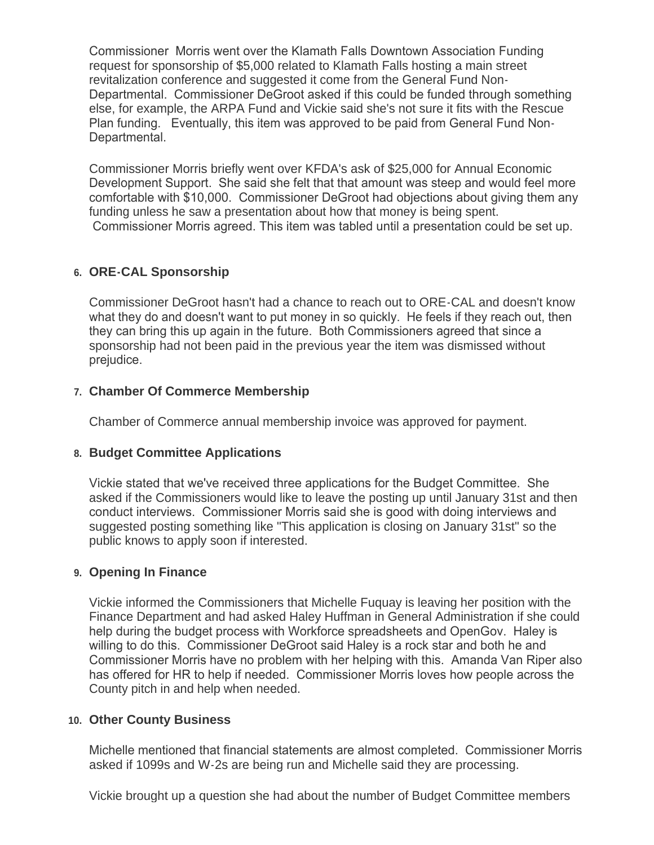Commissioner Morris went over the Klamath Falls Downtown Association Funding request for sponsorship of \$5,000 related to Klamath Falls hosting a main street revitalization conference and suggested it come from the General Fund Non-Departmental. Commissioner DeGroot asked if this could be funded through something else, for example, the ARPA Fund and Vickie said she's not sure it fits with the Rescue Plan funding. Eventually, this item was approved to be paid from General Fund Non-Departmental.

Commissioner Morris briefly went over KFDA's ask of \$25,000 for Annual Economic Development Support. She said she felt that that amount was steep and would feel more comfortable with \$10,000. Commissioner DeGroot had objections about giving them any funding unless he saw a presentation about how that money is being spent. Commissioner Morris agreed. This item was tabled until a presentation could be set up.

## **ORE-CAL Sponsorship 6.**

Commissioner DeGroot hasn't had a chance to reach out to ORE-CAL and doesn't know what they do and doesn't want to put money in so quickly. He feels if they reach out, then they can bring this up again in the future. Both Commissioners agreed that since a sponsorship had not been paid in the previous year the item was dismissed without prejudice.

#### **Chamber Of Commerce Membership 7.**

Chamber of Commerce annual membership invoice was approved for payment.

### **Budget Committee Applications 8.**

Vickie stated that we've received three applications for the Budget Committee. She asked if the Commissioners would like to leave the posting up until January 31st and then conduct interviews. Commissioner Morris said she is good with doing interviews and suggested posting something like "This application is closing on January 31st" so the public knows to apply soon if interested.

#### **Opening In Finance 9.**

Vickie informed the Commissioners that Michelle Fuquay is leaving her position with the Finance Department and had asked Haley Huffman in General Administration if she could help during the budget process with Workforce spreadsheets and OpenGov. Haley is willing to do this. Commissioner DeGroot said Haley is a rock star and both he and Commissioner Morris have no problem with her helping with this. Amanda Van Riper also has offered for HR to help if needed. Commissioner Morris loves how people across the County pitch in and help when needed.

#### **Other County Business 10.**

Michelle mentioned that financial statements are almost completed. Commissioner Morris asked if 1099s and W-2s are being run and Michelle said they are processing.

Vickie brought up a question she had about the number of Budget Committee members